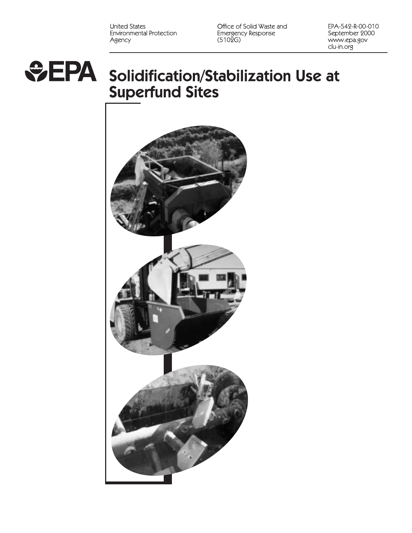**United States** Environmental Protection Agency

Office of Solid Waste and Emergency Response<br>(5102G)

EPA-542-R-00-010 September 2000 www.epa.gov clu-in.org

## **&EPA** Solidification/Stabilization Use at **Superfund Sites**

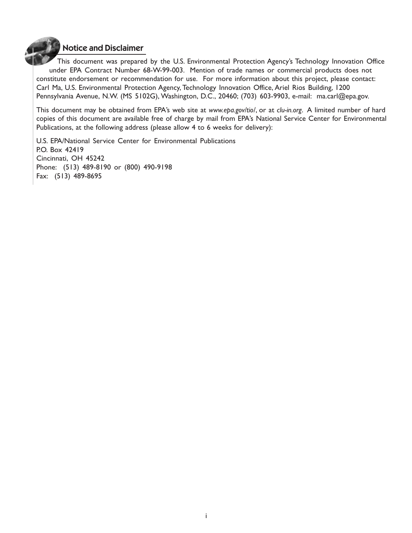#### Notice and Disclaimer

This document was prepared by the U.S. Environmental Protection Agency's Technology Innovation Office under EPA Contract Number 68-W-99-003. Mention of trade names or commercial products does not constitute endorsement or recommendation for use. For more information about this project, please contact: Carl Ma, U.S. Environmental Protection Agency, Technology Innovation Office, Ariel Rios Building, 1200 Pennsylvania Avenue, N.W. (MS 5102G), Washington, D.C., 20460; (703) 603-9903, e-mail: ma.carl@epa.gov.

This document may be obtained from EPA's web site at *www.epa.gov/tio/*, or at *clu-in.org*. A limited number of hard copies of this document are available free of charge by mail from EPA's National Service Center for Environmental Publications, at the following address (please allow 4 to 6 weeks for delivery):

U.S. EPA/National Service Center for Environmental Publications P.O. Box 42419 Cincinnati, OH 45242 Phone: (513) 489-8190 or (800) 490-9198 Fax: (513) 489-8695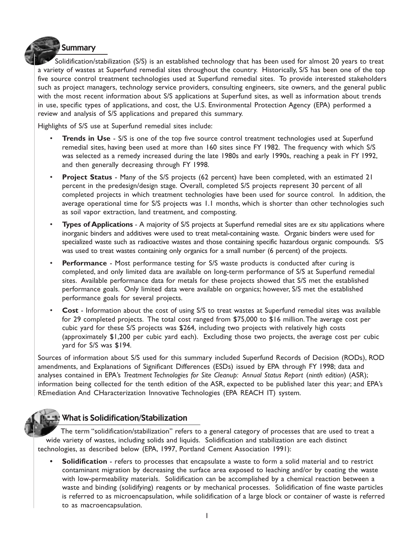# Summary

Solidification/stabilization (S/S) is an established technology that has been used for almost 20 years to treat a variety of wastes at Superfund remedial sites throughout the country. Historically, S/S has been one of the top five source control treatment technologies used at Superfund remedial sites. To provide interested stakeholders such as project managers, technology service providers, consulting engineers, site owners, and the general public with the most recent information about S/S applications at Superfund sites, as well as information about trends in use, specific types of applications, and cost, the U.S. Environmental Protection Agency (EPA) performed a review and analysis of S/S applications and prepared this summary.

Highlights of S/S use at Superfund remedial sites include:

- **Trends in Use** S/S is one of the top five source control treatment technologies used at Superfund remedial sites, having been used at more than 160 sites since FY 1982. The frequency with which S/S was selected as a remedy increased during the late 1980s and early 1990s, reaching a peak in FY 1992, and then generally decreasing through FY 1998.
- **Project Status** Many of the S/S projects (62 percent) have been completed, with an estimated 21 percent in the predesign/design stage. Overall, completed S/S projects represent 30 percent of all completed projects in which treatment technologies have been used for source control. In addition, the average operational time for S/S projects was 1.1 months, which is shorter than other technologies such as soil vapor extraction, land treatment, and composting.
- **Types of Applications**A majority of S/S projects at Superfund remedial sites are *ex situ* applications where inorganic binders and additives were used to treat metal-containing waste. Organic binders were used for specialized waste such as radioactive wastes and those containing specific hazardous organic compounds. S/S was used to treat wastes containing only organics for a small number (6 percent) of the projects.
- **Performance** Most performance testing for S/S waste products is conducted after curing is completed, and only limited data are available on long-term performance of S/S at Superfund remedial sites. Available performance data for metals for these projects showed that S/S met the established performance goals. Only limited data were available on organics; however, S/S met the established performance goals for several projects.
- **Cost** Information about the cost of using S/S to treat wastes at Superfund remedial sites was available for 29 completed projects. The total cost ranged from \$75,000 to \$16 million. The average cost per cubic yard for these S/S projects was \$264, including two projects with relatively high costs (approximately \$1,200 per cubic yard each). Excluding those two projects, the average cost per cubic yard for S/S was \$194.

Sources of information about S/S used for this summary included Superfund Records of Decision (RODs), ROD amendments, and Explanations of Significant Differences (ESDs) issued by EPA through FY 1998; data and analyses contained in EPA's *Treatment Technologies for Site Cleanup: Annual Status Report* (*ninth edition*) (ASR); information being collected for the tenth edition of the ASR, expected to be published later this year; and EPA's REmediation And CHaracterization Innovative Technologies (EPA REACH IT) system.



#### What is Solidification/Stabilization

The term "solidification/stabilization" refers to a general category of processes that are used to treat a wide variety of wastes, including solids and liquids. Solidification and stabilization are each distinct technologies, as described below (EPA, 1997, Portland Cement Association 1991):

**• Solidification** - refers to processes that encapsulate a waste to form a solid material and to restrict contaminant migration by decreasing the surface area exposed to leaching and/or by coating the waste with low-permeability materials. Solidification can be accomplished by a chemical reaction between a waste and binding (solidifying) reagents or by mechanical processes. Solidification of fine waste particles is referred to as microencapsulation, while solidification of a large block or container of waste is referred to as macroencapsulation.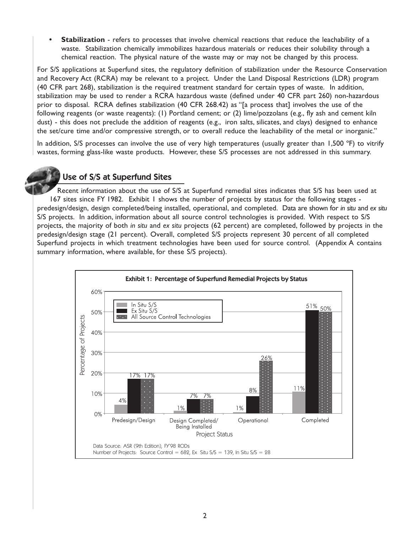**• Stabilization** - refers to processes that involve chemical reactions that reduce the leachability of a waste. Stabilization chemically immobilizes hazardous materials or reduces their solubility through a chemical reaction. The physical nature of the waste may or may not be changed by this process.

For S/S applications at Superfund sites, the regulatory definition of stabilization under the Resource Conservation and Recovery Act (RCRA) may be relevant to a project. Under the Land Disposal Restrictions (LDR) program (40 CFR part 268), stabilization is the required treatment standard for certain types of waste. In addition, stabilization may be used to render a RCRA hazardous waste (defined under 40 CFR part 260) non-hazardous prior to disposal. RCRA defines stabilization (40 CFR 268.42) as "[a process that] involves the use of the following reagents (or waste reagents): (1) Portland cement; or (2) lime/pozzolans (e.g., fly ash and cement kiln dust) - this does not preclude the addition of reagents (e.g., iron salts, silicates, and clays) designed to enhance the set/cure time and/or compressive strength, or to overall reduce the leachability of the metal or inorganic."

In addition, S/S processes can involve the use of very high temperatures (usually greater than 1,500  $^{\circ}$ F) to vitrify wastes, forming glass-like waste products. However, these S/S processes are not addressed in this summary.

## Use of S/S at Superfund Sites

Recent information about the use of S/S at Superfund remedial sites indicates that S/S has been used at 167 sites since FY 1982. Exhibit 1 shows the number of projects by status for the following stages predesign/design, design completed/being installed, operational, and completed. Data are shown for *in situ* and *ex situ* S/S projects. In addition, information about all source control technologies is provided. With respect to S/S projects, the majority of both *in situ* and *ex situ* projects (62 percent) are completed, followed by projects in the predesign/design stage (21 percent). Overall, completed S/S projects represent 30 percent of all completed Superfund projects in which treatment technologies have been used for source control. (Appendix A contains summary information, where available, for these S/S projects).

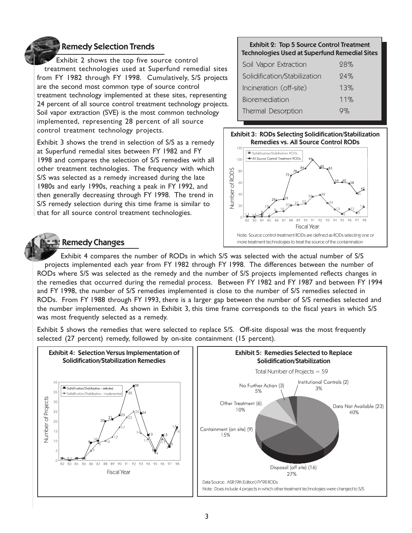

#### Remedy Selection Trends

Exhibit 2 shows the top five source control treatment technologies used at Superfund remedial sites from FY 1982 through FY 1998. Cumulatively, S/S projects are the second most common type of source control treatment technology implemented at these sites, representing 24 percent of all source control treatment technology projects. Soil vapor extraction (SVE) is the most common technology implemented, representing 28 percent of all source control treatment technology projects.

Exhibit 3 shows the trend in selection of S/S as a remedy at Superfund remedial sites between FY 1982 and FY 1998 and compares the selection of S/S remedies with all other treatment technologies. The frequency with which S/S was selected as a remedy increased during the late 1980s and early 1990s, reaching a peak in FY 1992, and then generally decreasing through FY 1998. The trend in S/S remedy selection during this time frame is similar to that for all source control treatment technologies.

## **Remedy Changes**

#### Exhibit 2: Top 5 Source Control Treatment Technologies Used at Superfund Remedial Sites

| Soil Vapor Extraction          | 98% |  |  |  |  |  |  |  |
|--------------------------------|-----|--|--|--|--|--|--|--|
| Solidification/Stabilization   | 94% |  |  |  |  |  |  |  |
| 13%<br>Incineration (off-site) |     |  |  |  |  |  |  |  |
| <b>Bioremediation</b>          | 11% |  |  |  |  |  |  |  |
| Thermal Desorption             | 9%  |  |  |  |  |  |  |  |
|                                |     |  |  |  |  |  |  |  |





Exhibit 4 compares the number of RODs in which S/S was selected with the actual number of S/S projects implemented each year from FY 1982 through FY 1998. The differences between the number of RODs where S/S was selected as the remedy and the number of S/S projects implemented reflects changes in the remedies that occurred during the remedial process. Between FY 1982 and FY 1987 and between FY 1994 and FY 1998, the number of S/S remedies implemented is close to the number of S/S remedies selected in RODs. From FY 1988 through FY 1993, there is a larger gap between the number of S/S remedies selected and the number implemented. As shown in Exhibit 3, this time frame corresponds to the fiscal years in which S/S was most frequently selected as a remedy.

Exhibit 5 shows the remedies that were selected to replace S/S. Off-site disposal was the most frequently selected (27 percent) remedy, followed by on-site containment (15 percent).

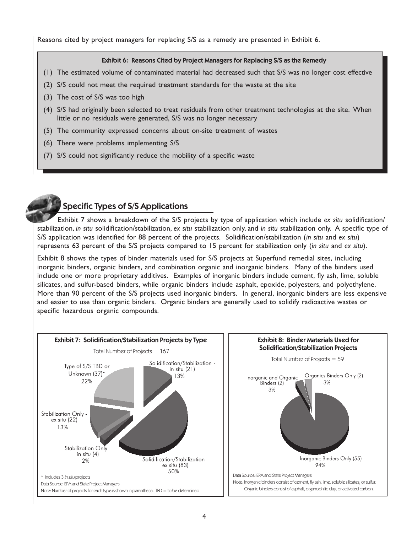Reasons cited by project managers for replacing S/S as a remedy are presented in Exhibit 6.

#### Exhibit 6: Reasons Cited by Project Managers for Replacing S/S as the Remedy

- (1) The estimated volume of contaminated material had decreased such that S/S was no longer cost effective
- (2) S/S could not meet the required treatment standards for the waste at the site
- (3) The cost of S/S was too high
- (4) S/S had originally been selected to treat residuals from other treatment technologies at the site. When little or no residuals were generated, S/S was no longer necessary
- (5) The community expressed concerns about on-site treatment of wastes
- (6) There were problems implementing S/S
- (7) S/S could not significantly reduce the mobility of a specific waste



## Specific Types of S/S Applications

Exhibit 7 shows a breakdown of the S/S projects by type of application which include *ex situ* solidification/ stabilization, *in situ* solidification/stabilization, *ex situ* stabilization only, and *in situ* stabilization only. A specific type of S/S application was identified for 88 percent of the projects. Solidification/stabilization (*in situ* and *ex situ*) represents 63 percent of the S/S projects compared to 15 percent for stabilization only (*in situ* and *ex situ*).

Exhibit 8 shows the types of binder materials used for S/S projects at Superfund remedial sites, including inorganic binders, organic binders, and combination organic and inorganic binders. Many of the binders used include one or more proprietary additives. Examples of inorganic binders include cement, fly ash, lime, soluble silicates, and sulfur-based binders, while organic binders include asphalt, epoxide, polyesters, and polyethylene. More than 90 percent of the S/S projects used inorganic binders. In general, inorganic binders are less expensive and easier to use than organic binders. Organic binders are generally used to solidify radioactive wastes or specific hazardous organic compounds.

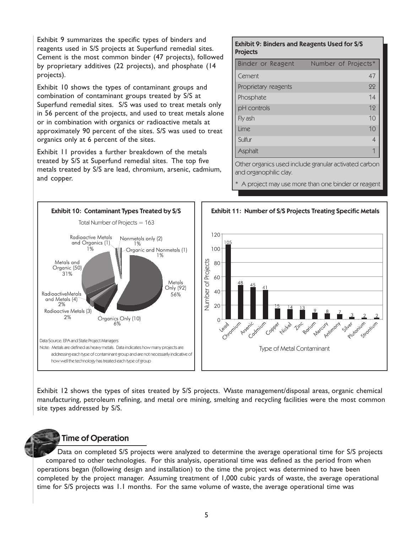Exhibit 9 summarizes the specific types of binders and reagents used in S/S projects at Superfund remedial sites. Cement is the most common binder (47 projects), followed by proprietary additives (22 projects), and phosphate (14 projects).

Exhibit 10 shows the types of contaminant groups and combination of contaminant groups treated by S/S at Superfund remedial sites. S/S was used to treat metals only in 56 percent of the projects, and used to treat metals alone or in combination with organics or radioactive metals at approximately 90 percent of the sites. S/S was used to treat organics only at 6 percent of the sites.

Exhibit 11 provides a further breakdown of the metals treated by S/S at Superfund remedial sites. The top five metals treated by S/S are lead, chromium, arsenic, cadmium, and copper.

#### Exhibit 9: Binders and Reagents Used for S/S Projects

| Binder or Reagent    | Number of Projects* |
|----------------------|---------------------|
| Cement               | 47                  |
| Proprietary reagents | 22                  |
| Phosphate            | 14                  |
| pH controls          | 19                  |
| Fly ash              | 10                  |
| Lime                 | 1 <sub>0</sub>      |
| Sulfur               |                     |
| Asphalt              |                     |

Other organics used include granular activated carbon and organophilic clay.

A project may use more than one binder or reagent



Exhibit 12 shows the types of sites treated by S/S projects. Waste management/disposal areas, organic chemical manufacturing, petroleum refining, and metal ore mining, smelting and recycling facilities were the most common site types addressed by S/S.



Data on completed S/S projects were analyzed to determine the average operational time for S/S projects compared to other technologies. For this analysis, operational time was defined as the period from when operations began (following design and installation) to the time the project was determined to have been completed by the project manager. Assuming treatment of 1,000 cubic yards of waste, the average operational time for S/S projects was 1.1 months. For the same volume of waste, the average operational time was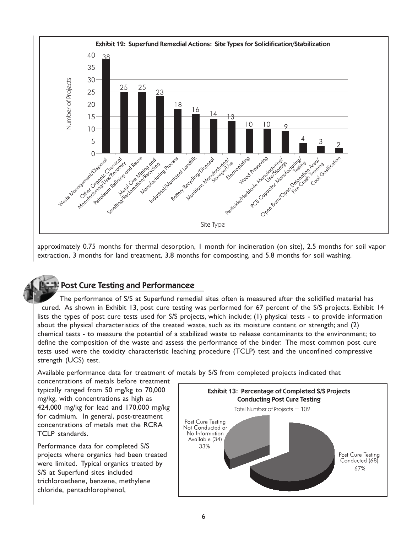

approximately 0.75 months for thermal desorption, 1 month for incineration (on site), 2.5 months for soil vapor extraction, 3 months for land treatment, 3.8 months for composting, and 5.8 months for soil washing.

## Post Cure Testing and Performancee

The performance of S/S at Superfund remedial sites often is measured after the solidified material has cured. As shown in Exhibit 13, post cure testing was performed for 67 percent of the S/S projects. Exhibit 14 lists the types of post cure tests used for S/S projects, which include; (1) physical tests - to provide information about the physical characteristics of the treated waste, such as its moisture content or strength; and (2) chemical tests - to measure the potential of a stabilized waste to release contaminants to the environment; to define the composition of the waste and assess the performance of the binder. The most common post cure tests used were the toxicity characteristic leaching procedure (TCLP) test and the unconfined compressive strength (UCS) test.

Available performance data for treatment of metals by S/S from completed projects indicated that

concentrations of metals before treatment typically ranged from 50 mg/kg to 70,000 mg/kg, with concentrations as high as 424,000 mg/kg for lead and 170,000 mg/kg for cadmium. In general, post-treatment concentrations of metals met the RCRA TCLP standards.

Performance data for completed S/S projects where organics had been treated were limited. Typical organics treated by S/S at Superfund sites included trichloroethene, benzene, methylene

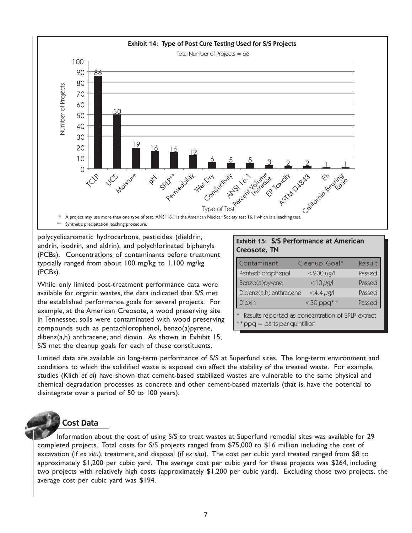

polycyclicaromatic hydrocarbons, pesticides (dieldrin, endrin, isodrin, and aldrin), and polychlorinated biphenyls (PCBs). Concentrations of contaminants before treatment typcially ranged from about 100 mg/kg to 1,100 mg/kg (PCBs).

While only limited post-treatment performance data were available for organic wastes, the data indicated that S/S met the established performance goals for several projects. For example, at the American Creosote, a wood preserving site in Tennessee, soils were contaminated with wood preserving compounds such as pentachlorophenol, benzo(a)pyrene, dibenz(a,h) anthracene, and dioxin. As shown in Exhibit 15, S/S met the cleanup goals for each of these constituents.

#### Exhibit 15: S/S Performance at American Creosote, TN

| Contaminant                                                                                    | Cleanup Goal*    | Result |  |  |  |  |  |  |  |
|------------------------------------------------------------------------------------------------|------------------|--------|--|--|--|--|--|--|--|
| Pentachlorophenol                                                                              | $<$ 200 $\mu$ g/ | Passed |  |  |  |  |  |  |  |
| Benzo(a)pyrene                                                                                 | $<$ 10 $\mu$ g/l | Passed |  |  |  |  |  |  |  |
| Dibenz(a,h) anthracene                                                                         | $<$ 4.4 $\mu$ g/ | Passed |  |  |  |  |  |  |  |
| <b>Dioxin</b>                                                                                  | $<$ 30 ppg**     | Passed |  |  |  |  |  |  |  |
| $\ast$<br>Results reported as concentration of SPLP extract<br>$*$ ppq = parts per quintillion |                  |        |  |  |  |  |  |  |  |

Limited data are available on long-term performance of S/S at Superfund sites. The long-term environment and conditions to which the solidified waste is exposed can affect the stability of the treated waste. For example, studies (Klich *et al*) have shown that cement-based stabilized wastes are vulnerable to the same physical and chemical degradation processes as concrete and other cement-based materials (that is, have the potential to disintegrate over a period of 50 to 100 years).

## Cost Data

Information about the cost of using S/S to treat wastes at Superfund remedial sites was available for 29 completed projects. Total costs for S/S projects ranged from \$75,000 to \$16 million including the cost of excavation (if *ex situ*), treatment, and disposal (if *ex situ*). The cost per cubic yard treated ranged from \$8 to approximately \$1,200 per cubic yard. The average cost per cubic yard for these projects was \$264, including two projects with relatively high costs (approximately \$1,200 per cubic yard). Excluding those two projects, the average cost per cubic yard was \$194.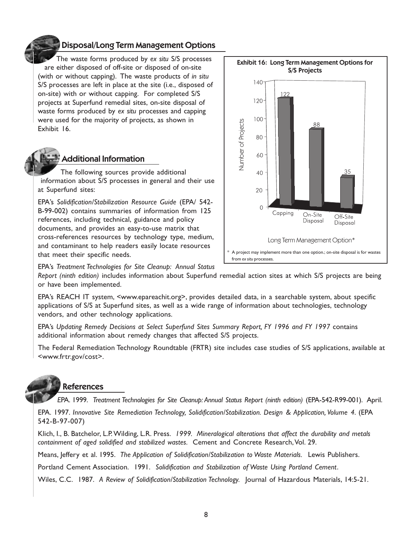### Disposal/Long Term Management Options

The waste forms produced by *ex situ* S/S processes are either disposed of off-site or disposed of on-site (with or without capping). The waste products of *in situ* S/S processes are left in place at the site (i.e., disposed of on-site) with or without capping. For completed S/S projects at Superfund remedial sites, on-site disposal of waste forms produced by *ex situ* processes and capping were used for the majority of projects, as shown in Exhibit 16.

![](_page_9_Picture_2.jpeg)

#### Additional Information

The following sources provide additional information about S/S processes in general and their use at Superfund sites:

EPA's *Solidification/Stabilization Resource Guide* (EPA/ 542- B-99-002) contains summaries of information from 125 references, including technical, guidance and policy documents, and provides an easy-to-use matrix that cross-references resources by technology type, medium, and contaminant to help readers easily locate resources that meet their specific needs.

![](_page_9_Figure_6.jpeg)

EPA's *Treatment Technologies for Site Cleanup: Annual Status*

*Report (ninth edition)* includes information about Superfund remedial action sites at which S/S projects are being or have been implemented.

EPA's REACH IT system, <www.epareachit.org>, provides detailed data, in a searchable system, about specific applications of S/S at Superfund sites, as well as a wide range of information about technologies, technology vendors, and other technology applications.

EPA's *Updating Remedy Decisions at Select Superfund Sites Summary Report, FY 1996 and FY 1997* contains additional information about remedy changes that affected S/S projects.

The Federal Remediation Technology Roundtable (FRTR) site includes case studies of S/S applications, available at <www.frtr.gov/cost>.

![](_page_9_Picture_12.jpeg)

*E*PA. 1999. *Treatment Technologies for Site Cleanup: Annual Status Report (ninth edition)* (EPA-542-R99-001). April.

EPA. 1997. *Innovative Site Remediation Technology, Solidification/Stabilization. Design & Application, Volume 4*. (EPA 542-B-97-007)

Klich, I., B. Batchelor, L.P. Wilding, L.R. Press. *1999. Mineralogical alterations that affect the durability and metals containment of aged solidified and stabilized wastes.* Cement and Concrete Research, Vol. 29.

Means, Jeffery et al. 1995. *The Application of Solidification/Stabilization to Waste Materials.* Lewis Publishers.

Portland Cement Association. 1991. *Solidification and Stabilization of Waste Using Portland Cement*.

Wiles, C.C. 1987. *A Review of Solidification/Stabilization Technology.* Journal of Hazardous Materials, 14:5-21.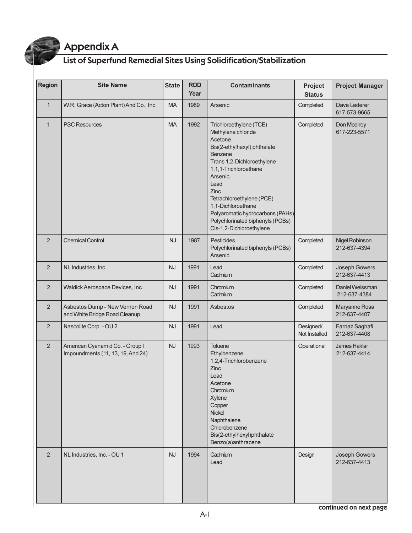![](_page_10_Picture_0.jpeg)

## Appendix A

## List of Superfund Remedial Sites Using Solidification/Stabilization

| Region         | <b>Site Name</b>                                                     | <b>State</b> | <b>ROD</b><br>Year | <b>Contaminants</b>                                                                                                                                                                                                                                                                                                                         | Project<br><b>Status</b>   | <b>Project Manager</b>                |
|----------------|----------------------------------------------------------------------|--------------|--------------------|---------------------------------------------------------------------------------------------------------------------------------------------------------------------------------------------------------------------------------------------------------------------------------------------------------------------------------------------|----------------------------|---------------------------------------|
| $\mathbf{1}$   | W.R. Grace (Acton Plant) And Co., Inc.                               | <b>MA</b>    | 1989               | Arsenic                                                                                                                                                                                                                                                                                                                                     | Completed                  | Dave Lederer<br>617-573-9665          |
| $\mathbf{1}$   | <b>PSC Resources</b>                                                 | <b>MA</b>    | 1992               | Trichloroethylene (TCE)<br>Methylene chloride<br>Acetone<br>Bis(2-ethylhexyl) phthalate<br>Benzene<br>Trans 1,2-Dichloroethylene<br>1,1,1-Trichloroethane<br>Arsenic<br>Lead<br>Zinc<br>Tetrachloroethylene (PCE)<br>1,1-Dichloroethane<br>Polyaromatic hydrocarbons (PAHs)<br>Polychlorinated biphenyls (PCBs)<br>Cis-1,2-Dichloroethylene | Completed                  | Don Mcelroy<br>617-223-5571           |
| $\overline{2}$ | <b>Chemical Control</b>                                              | <b>NJ</b>    | 1987               | Pesticides<br>Polychlorinated biphenyls (PCBs)<br>Arsenic                                                                                                                                                                                                                                                                                   | Completed                  | <b>Nigel Robinson</b><br>212-637-4394 |
| 2              | NL Industries, Inc.                                                  | <b>NJ</b>    | 1991               | Lead<br>Cadmium                                                                                                                                                                                                                                                                                                                             | Completed                  | Joseph Gowers<br>212-637-4413         |
| $\overline{2}$ | Waldick Aerospace Devices, Inc.                                      | <b>NJ</b>    | 1991               | Chromium<br>Cadmium                                                                                                                                                                                                                                                                                                                         | Completed                  | Daniel Weissman<br>212-637-4384       |
| $\overline{2}$ | Asbestos Dump - New Vernon Road<br>and White Bridge Road Cleanup     | <b>NJ</b>    | 1991               | Asbestos                                                                                                                                                                                                                                                                                                                                    | Completed                  | Maryanne Rosa<br>212-637-4407         |
| $\overline{2}$ | Nascolite Corp. - OU 2                                               | <b>NJ</b>    | 1991               | Lead                                                                                                                                                                                                                                                                                                                                        | Designed/<br>Not Installed | Farnaz Saghafi<br>212-637-4408        |
| $\overline{2}$ | American Cyanamid Co. - Group I<br>Impoundments (11, 13, 19, And 24) | <b>NJ</b>    | 1993               | Toluene<br>Ethylbenzene<br>1,2,4-Trichlorobenzene<br>Zinc<br>Lead<br>Acetone<br>Chromium<br>Xylene<br>Copper<br>Nickel<br>Naphthalene<br>Chlorobenzene<br>Bis(2-ethylhexyl)phthalate<br>Benzo(a)anthracene                                                                                                                                  | Operational                | James Haklar<br>212-637-4414          |
| $\overline{2}$ | NL Industries, Inc. - OU 1                                           | <b>NJ</b>    | 1994               | Cadmium<br>Lead                                                                                                                                                                                                                                                                                                                             | Design                     | Joseph Gowers<br>212-637-4413         |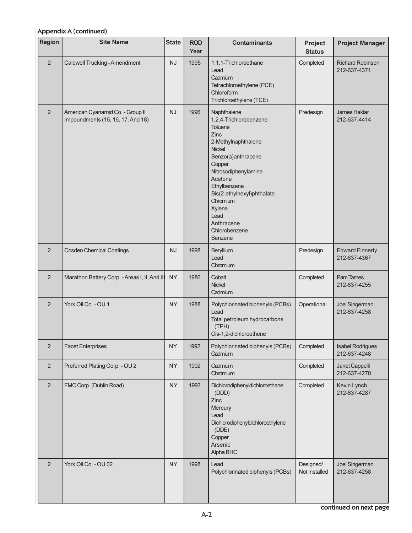| Region         | <b>Site Name</b>                                                      | <b>State</b> | <b>ROD</b><br>Year | <b>Contaminants</b>                                                                                                                                                                                                                                                                       | Project<br><b>Status</b>   | <b>Project Manager</b>                  |
|----------------|-----------------------------------------------------------------------|--------------|--------------------|-------------------------------------------------------------------------------------------------------------------------------------------------------------------------------------------------------------------------------------------------------------------------------------------|----------------------------|-----------------------------------------|
| $\overline{2}$ | Caldwell Trucking - Amendment                                         | <b>NJ</b>    | 1995               | 1,1,1-Trichloroethane<br>Lead<br>Cadmium<br>Tetrachloroethylene (PCE)<br>Chloroform<br>Trichloroethylene (TCE)                                                                                                                                                                            | Completed                  | <b>Richard Robinson</b><br>212-637-4371 |
| $\overline{2}$ | American Cyanamid Co. - Group II<br>Impoundments (15, 16, 17, And 18) | <b>NJ</b>    | 1996               | Naphthalene<br>1,2,4-Trichlorobenzene<br>Toluene<br>Zinc<br>2-Methylnaphthalene<br>Nickel<br>Benzo(a)anthracene<br>Copper<br>Nitrosodiphenylamine<br>Acetone<br>Ethylbenzene<br>Bis(2-ethylhexyl)phthalate<br>Chromium<br>Xylene<br>Lead<br>Anthracene<br>Chlorobenzene<br><b>Benzene</b> | Predesign                  | James Haklar<br>212-637-4414            |
| $\overline{2}$ | <b>Cosden Chemical Coatings</b>                                       | <b>NJ</b>    | 1998               | Beryllium<br>Lead<br>Chromium                                                                                                                                                                                                                                                             | Predesign                  | <b>Edward Finnerty</b><br>212-637-4367  |
| $\overline{2}$ | Marathon Battery Corp. - Areas I, II, And III                         | <b>NY</b>    | 1986               | Cobalt<br>Nickel<br>Cadmium                                                                                                                                                                                                                                                               | Completed                  | Pam Tames<br>212-637-4255               |
| 2              | York Oil Co. - OU 1                                                   | <b>NY</b>    | 1988               | Polychlorinated biphenyls (PCBs)<br>Lead<br>Total petroleum hydrocarbons<br>(TPH)<br>Cis-1,2-dichloroethene                                                                                                                                                                               | Operational                | Joel Singerman<br>212-637-4258          |
| $\overline{2}$ | <b>Facet Enterprises</b>                                              | <b>NY</b>    | 1992               | Polychlorinated biphenyls (PCBs)<br>Cadmium                                                                                                                                                                                                                                               | Completed                  | <b>Isabel Rodrigues</b><br>212-637-4248 |
| $\overline{2}$ | Preferred Plating Corp. - OU 2                                        | <b>NY</b>    | 1992               | Cadmium<br>Chromium                                                                                                                                                                                                                                                                       | Completed                  | Janet Cappelli<br>212-637-4270          |
| $\overline{2}$ | FMC Corp. (Dublin Road)                                               | <b>NY</b>    | 1993               | Dichlorodiphenyldichloroethane<br>(DDD)<br>Zinc<br>Mercury<br>Lead<br>Dichlorodiphenyldichloroethylene<br>(DDE)<br>Copper<br>Arsenic<br>Alpha BHC                                                                                                                                         | Completed                  | Kevin Lynch<br>212-637-4287             |
| $\overline{2}$ | York Oil Co. - OU 02                                                  | <b>NY</b>    | 1998               | Lead<br>Polychlorinated biphenyls (PCBs)                                                                                                                                                                                                                                                  | Designed/<br>Not Installed | Joel Singerman<br>212-637-4258          |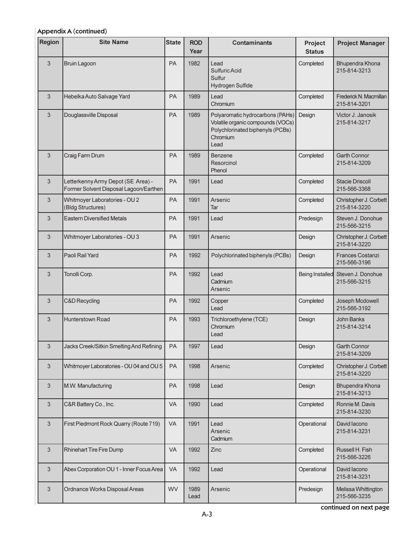| <b>Region</b>  | <b>Site Name</b>                                                             | <b>State</b> | <b>ROD</b><br>Year | <b>Contaminants</b>                                                                                                           | Project<br><b>Status</b> | <b>Project Manager</b>                  |
|----------------|------------------------------------------------------------------------------|--------------|--------------------|-------------------------------------------------------------------------------------------------------------------------------|--------------------------|-----------------------------------------|
| 3              | <b>Bruin Lagoon</b>                                                          | <b>PA</b>    | 1982               | Lead<br>Sulfuric Acid<br>Sulfur<br>Hydrogen Sulfide                                                                           | Completed                | Bhupendra Khona<br>215-814-3213         |
| 3              | Hebelka Auto Salvage Yard                                                    | <b>PA</b>    | 1989               | Lead<br>Chromium                                                                                                              | Completed                | Frederick N. Macmillan<br>215-814-3201  |
| 3              | Douglassville Disposal                                                       | PA           | 1989               | Polyaromatic hydrocarbons (PAHs)<br>Volatile organic compounds (VOCs)<br>Polychlorinated biphenyls (PCBs)<br>Chromium<br>Lead | Design                   | Victor J. Janosik<br>215-814-3217       |
| 3              | Craig Farm Drum                                                              | <b>PA</b>    | 1989               | Benzene<br>Resorcinol<br>Phenol                                                                                               | Completed                | <b>Garth Connor</b><br>215-814-3209     |
| 3              | Letterkenny Army Depot (SE Area) -<br>Former Solvent Disposal Lagoon/Earthen | PA           | 1991               | Lead                                                                                                                          | Completed                | <b>Stacie Driscoll</b><br>215-566-3368  |
| 3              | Whitmoyer Laboratories - OU 2<br>(Bldg Structures)                           | <b>PA</b>    | 1991               | Arsenic<br>Tar                                                                                                                | Completed                | Christopher J. Corbett<br>215-814-3220  |
| 3              | <b>Eastern Diversified Metals</b>                                            | PA           | 1991               | Lead                                                                                                                          | Predesign                | Steven J. Donohue<br>215-566-3215       |
| 3              | Whitmoyer Laboratories - OU 3                                                | <b>PA</b>    | 1991               | Arsenic                                                                                                                       | Design                   | Christopher J. Corbett<br>215-814-3220  |
| 3              | Paoli Rail Yard                                                              | <b>PA</b>    | 1992               | Polychlorinated biphenyls (PCBs)                                                                                              | Design                   | <b>Frances Costanzi</b><br>215-566-3196 |
| 3              | Tonolli Corp.                                                                | PA           | 1992               | Lead<br>Cadmium<br>Arsenic                                                                                                    | Being Installed          | Steven J. Donohue<br>215-566-3215       |
| 3              | <b>C&amp;D Recycling</b>                                                     | <b>PA</b>    | 1992               | Copper<br>Lead                                                                                                                | Completed                | Joseph Mcdowell<br>215-566-3192         |
| 3              | <b>Hunterstown Road</b>                                                      | <b>PA</b>    | 1993               | Trichloroethylene (TCE)<br>Chromium<br>Lead                                                                                   | Design                   | John Banks<br>215-814-3214              |
| 3              | Jacks Creek/Sitkin Smelting And Refining                                     | PA           | 1997               | Lead                                                                                                                          | Design                   | <b>Garth Connor</b><br>215-814-3209     |
| $\mathbf{3}$   | Whitmoyer Laboratories - OU 04 and OU 5                                      | PA           | 1998               | Arsenic                                                                                                                       | Completed                | Christopher J. Corbett<br>215-814-3220  |
| 3              | M.W. Manufacturing                                                           | PA           | 1998               | Lead                                                                                                                          | Design                   | Bhupendra Khona<br>215-814-3213         |
| 3              | C&R Battery Co., Inc.                                                        | <b>VA</b>    | 1990               | Lead                                                                                                                          | Completed                | Ronnie M. Davis<br>215-814-3230         |
| $\mathfrak{S}$ | First Piedmont Rock Quarry (Route 719)                                       | VA           | 1991               | Lead<br>Arsenic<br>Cadmium                                                                                                    | Operational              | David lacono<br>215-814-3231            |
| $\mathfrak{S}$ | <b>Rhinehart Tire Fire Dump</b>                                              | VA           | 1992               | Zinc                                                                                                                          | Completed                | Russell H. Fish<br>215-566-3226         |
| 3              | Abex Corporation OU 1 - Inner Focus Area                                     | VA           | 1992               | Lead                                                                                                                          | Operational              | David Iacono<br>215-814-3231            |
| 3              | Ordnance Works Disposal Areas                                                | <b>WV</b>    | 1989<br>Lead       | Arsenic                                                                                                                       | Predesign                | Melissa Whittington<br>215-566-3235     |

continued on next page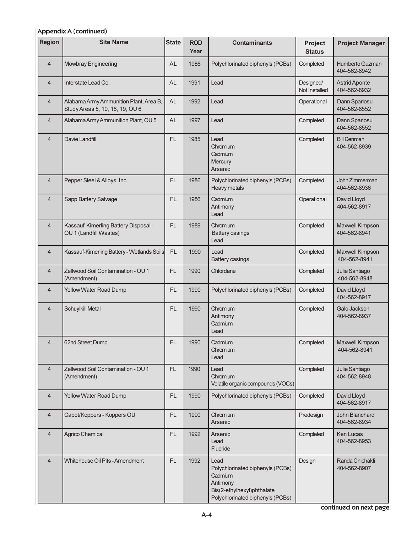| <b>Region</b>  | <b>Site Name</b>                                                          | <b>State</b> | <b>ROD</b><br>Year | <b>Contaminants</b>                                                                                                               | Project<br><b>Status</b>   | <b>Project Manager</b>                 |
|----------------|---------------------------------------------------------------------------|--------------|--------------------|-----------------------------------------------------------------------------------------------------------------------------------|----------------------------|----------------------------------------|
| $\overline{4}$ | <b>Mowbray Engineering</b>                                                | AL           | 1986               | Polychlorinated biphenyls (PCBs)                                                                                                  | Completed                  | Humberto Guzman<br>404-562-8942        |
| $\overline{4}$ | Interstate Lead Co.                                                       | <b>AL</b>    | 1991               | Lead                                                                                                                              | Designed/<br>Not Installed | <b>Astrid Aponte</b><br>404-562-8932   |
| $\overline{4}$ | Alabama Army Ammunition Plant, Area B,<br>Study Areas 5, 10, 16, 19, OU 6 | <b>AL</b>    | 1992               | Lead                                                                                                                              | Operational                | Dann Spariosu<br>404-562-8552          |
| $\overline{4}$ | Alabama Army Ammunition Plant, OU 5                                       | <b>AL</b>    | 1997               | Lead                                                                                                                              | Completed                  | Dann Spariosu<br>404-562-8552          |
| $\overline{4}$ | Davie Landfill                                                            | <b>FL</b>    | 1985               | Lead<br>Chromium<br>Cadmium<br>Mercury<br>Arsenic                                                                                 | Completed                  | <b>Bill Denman</b><br>404-562-8939     |
| $\overline{4}$ | Pepper Steel & Alloys, Inc.                                               | <b>FL</b>    | 1986               | Polychlorinated biphenyls (PCBs)<br>Heavy metals                                                                                  | Completed                  | John Zimmerman<br>404-562-8936         |
| $\overline{4}$ | Sapp Battery Salvage                                                      | <b>FL</b>    | 1986               | Cadmium<br>Antimony<br>Lead                                                                                                       | Operational                | David Lloyd<br>404-562-8917            |
| $\overline{4}$ | Kassauf-Kimerling Battery Disposal -<br>OU 1 (Landfill Wastes)            | FL           | 1989               | Chromium<br><b>Battery casings</b><br>Lead                                                                                        | Completed                  | <b>Maxwell Kimpson</b><br>404-562-8941 |
| $\overline{4}$ | Kassauf-Kimerling Battery - Wetlands Soils                                | FL.          | 1990               | Lead<br><b>Battery casings</b>                                                                                                    | Completed                  | <b>Maxwell Kimpson</b><br>404-562-8941 |
| $\overline{4}$ | Zellwood Soil Contamination - OU 1<br>(Amendment)                         | <b>FL</b>    | 1990               | Chlordane                                                                                                                         | Completed                  | Julie Santiago<br>404-562-8948         |
| $\overline{4}$ | Yellow Water Road Dump                                                    | FL           | 1990               | Polychlorinated biphenyls (PCBs)                                                                                                  | Completed                  | David Lloyd<br>404-562-8917            |
| $\overline{4}$ | Schuylkill Metal                                                          | FL.          | 1990               | Chromium<br>Antimony<br>Cadmium<br>Lead                                                                                           | Completed                  | Galo Jackson<br>404-562-8937           |
| $\overline{4}$ | 62nd Street Dump                                                          | FL.          | 1990               | Cadmium<br>Chromium<br>Lead                                                                                                       | Completed                  | <b>Maxwell Kimpson</b><br>404-562-8941 |
| $\overline{4}$ | Zellwood Soil Contamination - OU 1<br>(Amendment)                         | FL.          | 1990               | Lead<br>Chromium<br>Volatile organic compounds (VOCs)                                                                             | Completed                  | Julie Santiago<br>404-562-8948         |
| $\overline{4}$ | Yellow Water Road Dump                                                    | <b>FL</b>    | 1990               | Polychlorinated biphenyls (PCBs)                                                                                                  | Completed                  | David Lloyd<br>404-562-8917            |
| $\overline{4}$ | Cabot/Koppers - Koppers OU                                                | <b>FL</b>    | 1990               | Chromium<br>Arsenic                                                                                                               | Predesign                  | John Blanchard<br>404-562-8934         |
| $\overline{4}$ | Agrico Chemical                                                           | FL.          | 1992               | Arsenic<br>Lead<br>Fluoride                                                                                                       | Completed                  | Ken Lucas<br>404-562-8953              |
| $\overline{4}$ | Whitehouse Oil Pits - Amendment                                           | <b>FL</b>    | 1992               | Lead<br>Polychlorinated biphenyls (PCBs)<br>Cadmium<br>Antimony<br>Bis(2-ethylhexyl)phthalate<br>Polychlorinated biphenyls (PCBs) | Design                     | Randa Chichakli<br>404-562-8907        |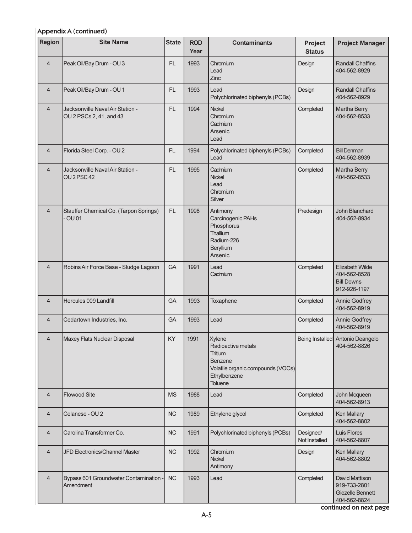| Region         | <b>Site Name</b>                                                      | <b>State</b> | <b>ROD</b><br>Year | <b>Contaminants</b>                                                                                                              | Project<br><b>Status</b>   | <b>Project Manager</b>                                                      |
|----------------|-----------------------------------------------------------------------|--------------|--------------------|----------------------------------------------------------------------------------------------------------------------------------|----------------------------|-----------------------------------------------------------------------------|
| $\overline{4}$ | Peak Oil/Bay Drum - OU 3                                              | <b>FL</b>    | 1993               | Chromium<br>Lead<br>Zinc                                                                                                         | Design                     | <b>Randall Chaffins</b><br>404-562-8929                                     |
| $\overline{4}$ | Peak Oil/Bay Drum - OU 1                                              | FL.          | 1993               | Lead<br>Polychlorinated biphenyls (PCBs)                                                                                         | Design                     | <b>Randall Chaffins</b><br>404-562-8929                                     |
| 4              | Jacksonville Naval Air Station -<br>OU 2 PSCs 2, 41, and 43           | <b>FL</b>    | 1994               | <b>Nickel</b><br>Chromium<br>Cadmium<br>Arsenic<br>Lead                                                                          | Completed                  | <b>Martha Berry</b><br>404-562-8533                                         |
| $\overline{4}$ | Florida Steel Corp. - OU 2                                            | <b>FL</b>    | 1994               | Polychlorinated biphenyls (PCBs)<br>Lead                                                                                         | Completed                  | <b>Bill Denman</b><br>404-562-8939                                          |
| $\overline{4}$ | Jacksonville Naval Air Station -<br>OU <sub>2</sub> PSC <sub>42</sub> | FL           | 1995               | Cadmium<br><b>Nickel</b><br>Lead<br>Chromium<br><b>Silver</b>                                                                    | Completed                  | <b>Martha Berry</b><br>404-562-8533                                         |
| $\overline{4}$ | Stauffer Chemical Co. (Tarpon Springs)<br>$\overline{O}$ U 01         | <b>FL</b>    | 1998               | Antimony<br>Carcinogenic PAHs<br>Phosphorus<br>Thallium<br>Radium-226<br>Beryllium<br>Arsenic                                    | Predesign                  | John Blanchard<br>404-562-8934                                              |
| $\overline{4}$ | Robins Air Force Base - Sludge Lagoon                                 | GA           | 1991               | Lead<br>Cadmium                                                                                                                  | Completed                  | <b>Elizabeth Wilde</b><br>404-562-8528<br><b>Bill Downs</b><br>912-926-1197 |
| $\overline{4}$ | Hercules 009 Landfill                                                 | GA           | 1993               | Toxaphene                                                                                                                        | Completed                  | Annie Godfrey<br>404-562-8919                                               |
| 4              | Cedartown Industries, Inc.                                            | GA           | 1993               | Lead                                                                                                                             | Completed                  | Annie Godfrey<br>404-562-8919                                               |
| $\overline{4}$ | Maxey Flats Nuclear Disposal                                          | KY           | 1991               | Xylene<br>Radioactive metals<br><b>Tritium</b><br>Benzene<br>Volatile organic compounds (VOCs)<br>Ethylbenzene<br><b>Toluene</b> |                            | Being Installed Antonio Deangelo<br>404-562-8826                            |
| 4              | <b>Flowood Site</b>                                                   | <b>MS</b>    | 1988               | Lead                                                                                                                             | Completed                  | John Mcqueen<br>404-562-8913                                                |
| 4              | Celanese - OU 2                                                       | NC           | 1989               | Ethylene glycol                                                                                                                  | Completed                  | <b>Ken Mallary</b><br>404-562-8802                                          |
| 4              | Carolina Transformer Co.                                              | <b>NC</b>    | 1991               | Polychlorinated biphenyls (PCBs)                                                                                                 | Designed/<br>Not Installed | Luis Flores<br>404-562-8807                                                 |
| 4              | JFD Electronics/Channel Master                                        | <b>NC</b>    | 1992               | Chromium<br><b>Nickel</b><br>Antimony                                                                                            | Design                     | Ken Mallary<br>404-562-8802                                                 |
| 4              | Bypass 601 Groundwater Contamination -<br>Amendment                   | NC           | 1993               | Lead                                                                                                                             | Completed                  | David Mattison<br>919-733-2801<br>Giezelle Bennett<br>404-562-8824          |

continued on next page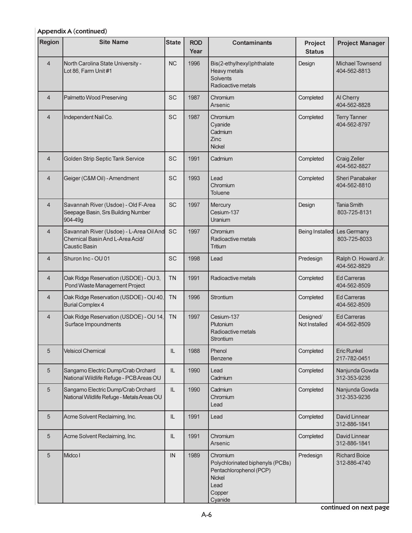| <b>Region</b>   | <b>Site Name</b>                                                                                   | <b>State</b>  | <b>ROD</b><br>Year | <b>Contaminants</b>                                                                                            | Project<br><b>Status</b>   | <b>Project Manager</b>                  |
|-----------------|----------------------------------------------------------------------------------------------------|---------------|--------------------|----------------------------------------------------------------------------------------------------------------|----------------------------|-----------------------------------------|
| $\overline{4}$  | North Carolina State University -<br>Lot 86, Farm Unit #1                                          | <b>NC</b>     | 1996               | Bis(2-ethylhexyl)phthalate<br>Heavy metals<br><b>Solvents</b><br>Radioactive metals                            | Design                     | <b>Michael Townsend</b><br>404-562-8813 |
| $\overline{4}$  | Palmetto Wood Preserving                                                                           | SC            | 1987               | Chromium<br>Arsenic                                                                                            | Completed                  | Al Cherry<br>404-562-8828               |
| 4               | Independent Nail Co.                                                                               | SC            | 1987               | Chromium<br>Cyanide<br>Cadmium<br>Zinc<br><b>Nickel</b>                                                        | Completed                  | <b>Terry Tanner</b><br>404-562-8797     |
| 4               | Golden Strip Septic Tank Service                                                                   | SC            | 1991               | Cadmium                                                                                                        | Completed                  | Craig Zeller<br>404-562-8827            |
| $\overline{4}$  | Geiger (C&M Oil) - Amendment                                                                       | SC            | 1993               | Lead<br>Chromium<br><b>Toluene</b>                                                                             | Completed                  | Sheri Panabaker<br>404-562-8810         |
| $\overline{4}$  | Savannah River (Usdoe) - Old F-Area<br>Seepage Basin, Srs Building Number<br>904-49g               | <b>SC</b>     | 1997               | Mercury<br>Cesium-137<br>Uranium                                                                               | Design                     | <b>Tania Smith</b><br>803-725-8131      |
| $\overline{4}$  | Savannah River (Usdoe) - L-Area Oil And<br>Chemical Basin And L-Area Acid/<br><b>Caustic Basin</b> | SC            | 1997               | Chromium<br>Radioactive metals<br>Tritium                                                                      | Being Installed            | Les Germany<br>803-725-8033             |
| $\overline{4}$  | Shuron Inc - OU 01                                                                                 | SC            | 1998               | Lead                                                                                                           | Predesign                  | Ralph O. Howard Jr.<br>404-562-8829     |
| 4               | Oak Ridge Reservation (USDOE) - OU 3,<br>Pond Waste Management Project                             | <b>TN</b>     | 1991               | Radioactive metals                                                                                             | Completed                  | <b>Ed Carreras</b><br>404-562-8509      |
| $\overline{4}$  | Oak Ridge Reservation (USDOE) - OU 40,<br><b>Burial Complex 4</b>                                  | <b>TN</b>     | 1996               | Strontium                                                                                                      | Completed                  | <b>Ed Carreras</b><br>404-562-8509      |
| $\overline{4}$  | Oak Ridge Reservation (USDOE) - OU 14,<br>Surface Impoundments                                     | <b>TN</b>     | 1997               | Cesium-137<br>Plutonium<br>Radioactive metals<br>Strontium                                                     | Designed/<br>Not Installed | <b>Ed Carreras</b><br>404-562-8509      |
| 5               | <b>Velsicol Chemical</b>                                                                           | $\sf IL$      | 1988               | Phenol<br>Benzene                                                                                              | Completed                  | <b>Eric Runkel</b><br>217-782-0451      |
| 5               | Sangamo Electric Dump/Crab Orchard<br>National Wildlife Refuge - PCB Areas OU                      | IL            | 1990               | Lead<br>Cadmium                                                                                                | Completed                  | Nanjunda Gowda<br>312-353-9236          |
| $5\phantom{.0}$ | Sangamo Electric Dump/Crab Orchard<br>National Wildlife Refuge - Metals Areas OU                   | $\mathsf{IL}$ | 1990               | Cadmium<br>Chromium<br>Lead                                                                                    | Completed                  | Nanjunda Gowda<br>312-353-9236          |
| $5\phantom{.0}$ | Acme Solvent Reclaiming, Inc.                                                                      | $\mathsf{IL}$ | 1991               | Lead                                                                                                           | Completed                  | David Linnear<br>312-886-1841           |
| 5               | Acme Solvent Reclaiming, Inc.                                                                      | IL            | 1991               | Chromium<br>Arsenic                                                                                            | Completed                  | David Linnear<br>312-886-1841           |
| $5\phantom{.0}$ | Midco I                                                                                            | IN            | 1989               | Chromium<br>Polychlorinated biphenyls (PCBs)<br>Pentachlorophenol (PCP)<br>Nickel<br>Lead<br>Copper<br>Cyanide | Predesign                  | <b>Richard Boice</b><br>312-886-4740    |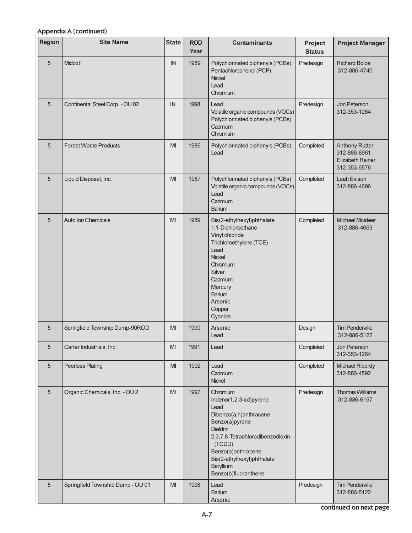| <b>Region</b> | <b>Site Name</b>                  | <b>State</b> | <b>ROD</b><br>Year | <b>Contaminants</b>                                                                                                                                                                                                                              | Project<br><b>Status</b> | <b>Project Manager</b>                                                    |
|---------------|-----------------------------------|--------------|--------------------|--------------------------------------------------------------------------------------------------------------------------------------------------------------------------------------------------------------------------------------------------|--------------------------|---------------------------------------------------------------------------|
| 5             | Midco II                          | IN           | 1989               | Polychlorinated biphenyls (PCBs)<br>Pentachlorophenol (PCP)<br><b>Nickel</b><br>Lead<br>Chromium                                                                                                                                                 | Predesign                | <b>Richard Boice</b><br>312-886-4740                                      |
| 5             | Continental Steel Corp. - OU 02   | IN           | 1998               | Lead<br>Volatile organic compounds (VOCs)<br>Polychlorinated biphenyls (PCBs)<br>Cadmium<br>Chromium                                                                                                                                             | Predesign                | Jon Peterson<br>312-353-1264                                              |
| 5             | <b>Forest Waste Products</b>      | MI           | 1986               | Polychlorinated biphenyls (PCBs)<br>Lead                                                                                                                                                                                                         | Completed                | <b>Anthony Rutter</b><br>312-886-8961<br>Elizabeth Reiner<br>312-353-6576 |
| 5             | Liquid Disposal, Inc.             | MI           | 1987               | Polychlorinated biphenyls (PCBs)<br>Volatile organic compounds (VOCs)<br>Lead<br>Cadmium<br>Barium                                                                                                                                               | Completed                | Leah Evison<br>312-886-4696                                               |
| 5             | Auto Ion Chemicals                | MI           | 1989               | Bis(2-ethylhexyl)phthalate<br>1,1-Dichloroethane<br>Vinyl chloride<br>Trichloroethylene (TCE)<br>Lead<br><b>Nickel</b><br>Chromium<br>Silver<br>Cadmium<br>Mercury<br>Barium<br>Arsenic<br>Copper<br>Cyanide                                     | Completed                | <b>Michael Mcateer</b><br>312-886-4663                                    |
| 5             | Springfield Township Dump-90ROD   | MI           | 1990               | Arsenic<br>Lead                                                                                                                                                                                                                                  | Design                   | <b>Tim Penderville</b><br>312-886-5122                                    |
| 5             | Carter Industrials, Inc.          | MI           | 1991               | Lead                                                                                                                                                                                                                                             | Completed                | Jon Peterson<br>312-353-1264                                              |
| 5             | <b>Peerless Plating</b>           | MI           | 1992               | Lead<br>Cadmium<br>Nickel                                                                                                                                                                                                                        | Completed                | <b>Michael Ribordy</b><br>312-886-4592                                    |
| 5             | Organic Chemicals, Inc. - OU 2    | MI           | 1997               | Chromium<br>Indeno(1,2,3-cd)pyrene<br>Lead<br>Dibenzo(a,h)anthracene<br>Benzo(a)pyrene<br><b>Dieldrin</b><br>2,3,7,8-Tetrachlorodibenzodioxin<br>(TCDD)<br>Benzo(a)anthracene<br>Bis(2-ethylhexyl)phthalate<br>Beryllium<br>Benzo(b)fluoranthene | Predesign                | <b>Thomas Williams</b><br>312-886-6157                                    |
| 5             | Springfield Township Dump - OU 01 | MI           | 1998               | Lead<br>Barium<br>Arsenic                                                                                                                                                                                                                        | Predesign                | <b>Tim Penderville</b><br>312-886-5122                                    |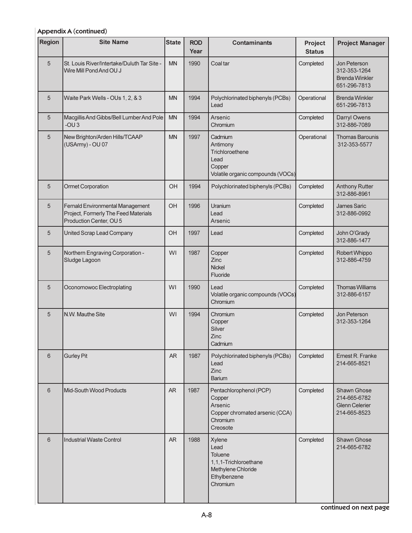| Region | <b>Site Name</b>                                                                                    | <b>State</b> | <b>ROD</b><br>Year | <b>Contaminants</b>                                                                                    | Project<br><b>Status</b> | <b>Project Manager</b>                                                |
|--------|-----------------------------------------------------------------------------------------------------|--------------|--------------------|--------------------------------------------------------------------------------------------------------|--------------------------|-----------------------------------------------------------------------|
| 5      | St. Louis River/Intertake/Duluth Tar Site -<br>Wire Mill Pond And OU J                              | <b>MN</b>    | 1990               | Coal tar                                                                                               | Completed                | Jon Peterson<br>312-353-1264<br><b>Brenda Winkler</b><br>651-296-7813 |
| 5      | Waite Park Wells - OUs 1, 2, & 3                                                                    | <b>MN</b>    | 1994               | Polychlorinated biphenyls (PCBs)<br>Lead                                                               | Operational              | <b>Brenda Winkler</b><br>651-296-7813                                 |
| 5      | Macgillis And Gibbs/Bell Lumber And Pole<br>$-OU3$                                                  | <b>MN</b>    | 1994               | Arsenic<br>Chromium                                                                                    | Completed                | Darryl Owens<br>312-886-7089                                          |
| 5      | New Brighton/Arden Hills/TCAAP<br>(USArmy) - OU 07                                                  | <b>MN</b>    | 1997               | Cadmium<br>Antimony<br>Trichloroethene<br>Lead<br>Copper<br>Volatile organic compounds (VOCs)          | Operational              | Thomas Barounis<br>312-353-5577                                       |
| 5      | <b>Ormet Corporation</b>                                                                            | OH           | 1994               | Polychlorinated biphenyls (PCBs)                                                                       | Completed                | <b>Anthony Rutter</b><br>312-886-8961                                 |
| 5      | Fernald Environmental Management<br>Project, Formerly The Feed Materials<br>Production Center, OU 5 | OH           | 1996               | Uranium<br>Lead<br>Arsenic                                                                             | Completed                | <b>James Saric</b><br>312-886-0992                                    |
| 5      | United Scrap Lead Company                                                                           | OH           | 1997               | Lead                                                                                                   | Completed                | John O'Grady<br>312-886-1477                                          |
| 5      | Northern Engraving Corporation -<br>Sludge Lagoon                                                   | <b>WI</b>    | 1987               | Copper<br>Zinc<br><b>Nickel</b><br>Fluoride                                                            | Completed                | Robert Whippo<br>312-886-4759                                         |
| 5      | Oconomowoc Electroplating                                                                           | <b>WI</b>    | 1990               | Lead<br>Volatile organic compounds (VOCs)<br>Chromium                                                  | Completed                | <b>Thomas Williams</b><br>312-886-6157                                |
| 5      | N.W. Mauthe Site                                                                                    | <b>WI</b>    | 1994               | Chromium<br>Copper<br>Silver<br>Zinc<br>Cadmium                                                        | Completed                | Jon Peterson<br>312-353-1264                                          |
| 6      | <b>Gurley Pit</b>                                                                                   | <b>AR</b>    | 1987               | Polychlorinated biphenyls (PCBs)<br>Lead<br>Zinc<br>Barium                                             | Completed                | Ernest R. Franke<br>214-665-8521                                      |
| 6      | Mid-South Wood Products                                                                             | <b>AR</b>    | 1987               | Pentachlorophenol (PCP)<br>Copper<br>Arsenic<br>Copper chromated arsenic (CCA)<br>Chromium<br>Creosote | Completed                | Shawn Ghose<br>214-665-6782<br><b>Glenn Celerier</b><br>214-665-8523  |
| 6      | <b>Industrial Waste Control</b>                                                                     | <b>AR</b>    | 1988               | Xylene<br>Lead<br>Toluene<br>1,1,1-Trichloroethane<br>Methylene Chloride<br>Ethylbenzene<br>Chromium   | Completed                | Shawn Ghose<br>214-665-6782                                           |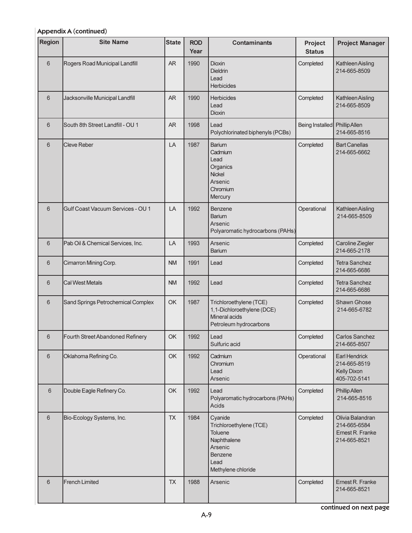| Region | <b>Site Name</b>                   | <b>State</b> | <b>ROD</b><br>Year | <b>Contaminants</b>                                                                                                     | Project<br><b>Status</b> | <b>Project Manager</b>                                               |
|--------|------------------------------------|--------------|--------------------|-------------------------------------------------------------------------------------------------------------------------|--------------------------|----------------------------------------------------------------------|
| 6      | Rogers Road Municipal Landfill     | <b>AR</b>    | 1990               | <b>Dioxin</b><br><b>Dieldrin</b><br>Lead<br><b>Herbicides</b>                                                           | Completed                | Kathleen Aisling<br>214-665-8509                                     |
| 6      | Jacksonville Municipal Landfill    | <b>AR</b>    | 1990               | Herbicides<br>Lead<br><b>Dioxin</b>                                                                                     | Completed                | Kathleen Aisling<br>214-665-8509                                     |
| 6      | South 8th Street Landfill - OU 1   | <b>AR</b>    | 1998               | Lead<br>Polychlorinated biphenyls (PCBs)                                                                                | Being Installed          | Phillip Allen<br>214-665-8516                                        |
| 6      | <b>Cleve Reber</b>                 | LA           | 1987               | <b>Barium</b><br>Cadmium<br>Lead<br>Organics<br><b>Nickel</b><br>Arsenic<br>Chromium<br>Mercury                         | Completed                | <b>Bart Canellas</b><br>214-665-6662                                 |
| 6      | Gulf Coast Vacuum Services - OU 1  | LA           | 1992               | Benzene<br><b>Barium</b><br>Arsenic<br>Polyaromatic hydrocarbons (PAHs)                                                 | Operational              | Kathleen Aisling<br>214-665-8509                                     |
| 6      | Pab Oil & Chemical Services, Inc.  | LA           | 1993               | Arsenic<br><b>Barium</b>                                                                                                | Completed                | Caroline Ziegler<br>214-665-2178                                     |
| 6      | Cimarron Mining Corp.              | <b>NM</b>    | 1991               | Lead                                                                                                                    | Completed                | <b>Tetra Sanchez</b><br>214-665-6686                                 |
| 6      | <b>Cal West Metals</b>             | <b>NM</b>    | 1992               | Lead                                                                                                                    | Completed                | <b>Tetra Sanchez</b><br>214-665-6686                                 |
| 6      | Sand Springs Petrochemical Complex | OK           | 1987               | Trichloroethylene (TCE)<br>1,1-Dichloroethylene (DCE)<br>Mineral acids<br>Petroleum hydrocarbons                        | Completed                | Shawn Ghose<br>214-665-6782                                          |
| 6      | Fourth Street Abandoned Refinery   | OK           | 1992               | Lead<br>Sulfuric acid                                                                                                   | Completed                | <b>Carlos Sanchez</b><br>214-665-8507                                |
| 6      | Oklahoma Refining Co.              | OK           | 1992               | Cadmium<br>Chromium<br>Lead<br>Arsenic                                                                                  | Operational              | Earl Hendrick<br>214-665-8519<br><b>Kelly Dixon</b><br>405-702-5141  |
| $6\,$  | Double Eagle Refinery Co.          | OK           | 1992               | Lead<br>Polyaromatic hydrocarbons (PAHs)<br>Acids                                                                       | Completed                | Phillip Allen<br>214-665-8516                                        |
| 6      | Bio-Ecology Systems, Inc.          | ${\sf TX}$   | 1984               | Cyanide<br>Trichloroethylene (TCE)<br><b>Toluene</b><br>Naphthalene<br>Arsenic<br>Benzene<br>Lead<br>Methylene chloride | Completed                | Olivia Balandran<br>214-665-6584<br>Ernest R. Franke<br>214-665-8521 |
| 6      | <b>French Limited</b>              | <b>TX</b>    | 1988               | Arsenic                                                                                                                 | Completed                | Ernest R. Franke<br>214-665-8521                                     |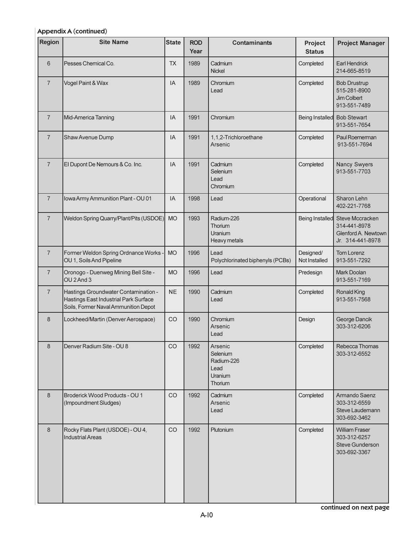| Region         | <b>Site Name</b>                                                                                                      | <b>State</b> | <b>ROD</b><br>Year | <b>Contaminants</b>                                                    | Project<br><b>Status</b>   | <b>Project Manager</b>                                                     |
|----------------|-----------------------------------------------------------------------------------------------------------------------|--------------|--------------------|------------------------------------------------------------------------|----------------------------|----------------------------------------------------------------------------|
| 6              | Pesses Chemical Co.                                                                                                   | <b>TX</b>    | 1989               | Cadmium<br><b>Nickel</b>                                               | Completed                  | <b>Earl Hendrick</b><br>214-665-8519                                       |
| $\overline{7}$ | Vogel Paint & Wax                                                                                                     | IA           | 1989               | Chromium<br>Lead                                                       | Completed                  | <b>Bob Drustrup</b><br>515-281-8900<br>Jim Colbert<br>913-551-7489         |
| $\sqrt{7}$     | Mid-America Tanning                                                                                                   | IA           | 1991               | Chromium                                                               | Being Installed            | <b>Bob Stewart</b><br>913-551-7654                                         |
| $\overline{7}$ | Shaw Avenue Dump                                                                                                      | IA           | 1991               | 1,1,2-Trichloroethane<br>Arsenic                                       | Completed                  | Paul Roemerman<br>913-551-7694                                             |
| $\sqrt{7}$     | El Dupont De Nemours & Co. Inc.                                                                                       | IA           | 1991               | Cadmium<br>Selenium<br>Lead<br>Chromium                                | Completed                  | <b>Nancy Swyers</b><br>913-551-7703                                        |
| $\sqrt{7}$     | Iowa Army Ammunition Plant - OU 01                                                                                    | IA           | 1998               | Lead                                                                   | Operational                | Sharon Lehn<br>402-221-7768                                                |
| $\overline{7}$ | Weldon Spring Quarry/Plant/Pits (USDOE)                                                                               | <b>MO</b>    | 1993               | Radium-226<br>Thorium<br>Uranium<br>Heavy metals                       | <b>Being Installed</b>     | Steve Mccracken<br>314-441-8978<br>Glenford A. Newtown<br>Jr. 314-441-8978 |
| $\sqrt{7}$     | Former Weldon Spring Ordnance Works -<br>OU 1, Soils And Pipeline                                                     | <b>MO</b>    | 1996               | Lead<br>Polychlorinated biphenyls (PCBs)                               | Designed/<br>Not Installed | Tom Lorenz<br>913-551-7292                                                 |
| $\overline{7}$ | Oronogo - Duenweg Mining Bell Site -<br>OU <sub>2</sub> And <sub>3</sub>                                              | <b>MO</b>    | 1996               | Lead                                                                   | Predesign                  | <b>Mark Doolan</b><br>913-551-7169                                         |
| $\overline{7}$ | Hastings Groundwater Contamination -<br>Hastings East Industrial Park Surface<br>Soils, Former Naval Ammunition Depot | <b>NE</b>    | 1990               | Cadmium<br>Lead                                                        | Completed                  | <b>Ronald King</b><br>913-551-7568                                         |
| 8              | Lockheed/Martin (Denver Aerospace)                                                                                    | CO           | 1990               | Chromium<br>Arsenic<br>Lead                                            | Design                     | George Dancik<br>303-312-6206                                              |
| 8              | Denver Radium Site - OU 8                                                                                             | <b>CO</b>    | 1992               | Arsenic<br><b>Selenium</b><br>Radium-226<br>Lead<br>Uranium<br>Thorium | Completed                  | Rebecca Thomas<br>303-312-6552                                             |
| 8              | <b>Broderick Wood Products - OU 1</b><br>(Impoundment Sludges)                                                        | CO           | 1992               | Cadmium<br>Arsenic<br>Lead                                             | Completed                  | Armando Saenz<br>303-312-6559<br>Steve Laudemann<br>303-692-3462           |
| $\bf 8$        | Rocky Flats Plant (USDOE) - OU 4,<br><b>Industrial Areas</b>                                                          | CO           | 1992               | Plutonium                                                              | Completed                  | <b>William Fraser</b><br>303-312-6257<br>Steve Gunderson<br>303-692-3367   |

continued on next page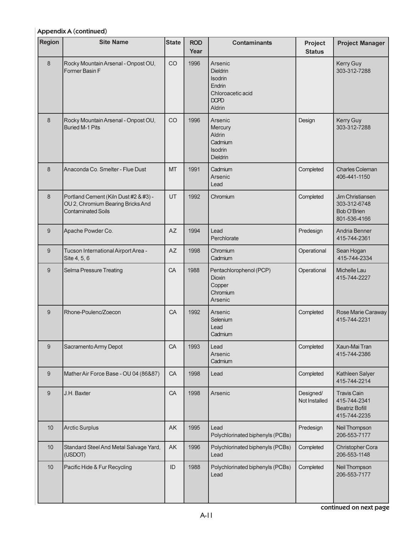| Region | <b>Site Name</b>                                                                                        | <b>State</b> | <b>ROD</b><br>Year | <b>Contaminants</b>                                                                                  | Project<br><b>Status</b>   | <b>Project Manager</b>                                                      |
|--------|---------------------------------------------------------------------------------------------------------|--------------|--------------------|------------------------------------------------------------------------------------------------------|----------------------------|-----------------------------------------------------------------------------|
| 8      | Rocky Mountain Arsenal - Onpost OU,<br>Former Basin F                                                   | CO           | 1996               | Arsenic<br><b>Dieldrin</b><br><b>Isodrin</b><br>Endrin<br>Chloroacetic acid<br><b>DCPD</b><br>Aldrin |                            | Kerry Guy<br>303-312-7288                                                   |
| 8      | Rocky Mountain Arsenal - Onpost OU,<br><b>Buried M-1 Pits</b>                                           | CO           | 1996               | Arsenic<br>Mercury<br>Aldrin<br>Cadmium<br>Isodrin<br><b>Dieldrin</b>                                | Design                     | Kerry Guy<br>303-312-7288                                                   |
| 8      | Anaconda Co. Smelter - Flue Dust                                                                        | <b>MT</b>    | 1991               | Cadmium<br>Arsenic<br>Lead                                                                           | Completed                  | <b>Charles Coleman</b><br>406-441-1150                                      |
| 8      | Portland Cement (Kiln Dust #2 & #3) -<br>OU 2, Chromium Bearing Bricks And<br><b>Contaminated Soils</b> | UT           | 1992               | Chromium                                                                                             | Completed                  | Jim Christiansen<br>303-312-6748<br>Bob O'Brien<br>801-536-4166             |
| 9      | Apache Powder Co.                                                                                       | <b>AZ</b>    | 1994               | Lead<br>Perchlorate                                                                                  | Predesign                  | Andria Benner<br>415-744-2361                                               |
| 9      | Tucson International Airport Area -<br>Site 4, 5, 6                                                     | AZ           | 1998               | Chromium<br>Cadmium                                                                                  | Operational                | Sean Hogan<br>415-744-2334                                                  |
| 9      | Selma Pressure Treating                                                                                 | CA           | 1988               | Pentachlorophenol (PCP)<br><b>Dioxin</b><br>Copper<br>Chromium<br>Arsenic                            | Operational                | Michelle Lau<br>415-744-2227                                                |
| 9      | Rhone-Poulenc/Zoecon                                                                                    | CA           | 1992               | Arsenic<br>Selenium<br>Lead<br>Cadmium                                                               | Completed                  | Rose Marie Caraway<br>415-744-2231                                          |
| 9      | Sacramento Army Depot                                                                                   | CA           | 1993               | Lead<br>Arsenic<br>Cadmium                                                                           | Completed                  | Xaun-Mai Tran<br>415-744-2386                                               |
| 9      | Mather Air Force Base - OU 04 (86&87)                                                                   | CA           | 1998               | Lead                                                                                                 | Completed                  | Kathleen Salyer<br>415-744-2214                                             |
| 9      | J.H. Baxter                                                                                             | ${\sf CA}$   | 1998               | Arsenic                                                                                              | Designed/<br>Not Installed | <b>Travis Cain</b><br>415-744-2341<br><b>Beatriz Bofill</b><br>415-744-2235 |
| 10     | <b>Arctic Surplus</b>                                                                                   | AK           | 1995               | Lead<br>Polychlorinated biphenyls (PCBs)                                                             | Predesign                  | Neil Thompson<br>206-553-7177                                               |
| 10     | Standard Steel And Metal Salvage Yard,<br>(USDOT)                                                       | ${\sf AK}$   | 1996               | Polychlorinated biphenyls (PCBs)<br>Lead                                                             | Completed                  | Christopher Cora<br>206-553-1148                                            |
| 10     | Pacific Hide & Fur Recycling                                                                            | ID           | 1988               | Polychlorinated biphenyls (PCBs)<br>Lead                                                             | Completed                  | Neil Thompson<br>206-553-7177                                               |

continued on next page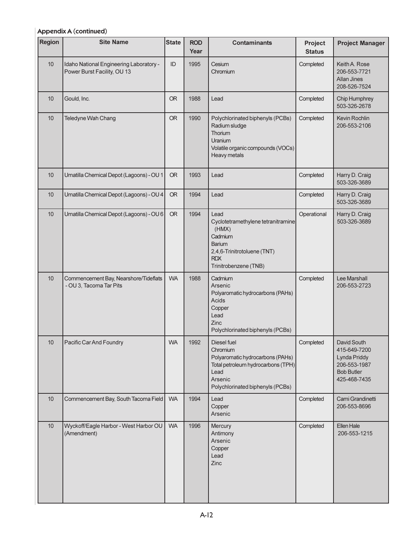| Region | <b>Site Name</b>                                                       | <b>State</b> | <b>ROD</b><br>Year | <b>Contaminants</b>                                                                                                                                      | Project<br><b>Status</b> | <b>Project Manager</b>                                                                           |
|--------|------------------------------------------------------------------------|--------------|--------------------|----------------------------------------------------------------------------------------------------------------------------------------------------------|--------------------------|--------------------------------------------------------------------------------------------------|
| 10     | Idaho National Engineering Laboratory -<br>Power Burst Facility, OU 13 | ID           | 1995               | Cesium<br>Chromium                                                                                                                                       | Completed                | Keith A. Rose<br>206-553-7721<br><b>Allan Jines</b><br>208-526-7524                              |
| 10     | Gould, Inc.                                                            | <b>OR</b>    | 1988               | Lead                                                                                                                                                     | Completed                | Chip Humphrey<br>503-326-2678                                                                    |
| 10     | Teledyne Wah Chang                                                     | <b>OR</b>    | 1990               | Polychlorinated biphenyls (PCBs)<br>Radium sludge<br>Thorium<br>Uranium<br>Volatile organic compounds (VOCs)<br>Heavy metals                             | Completed                | Kevin Rochlin<br>206-553-2106                                                                    |
| 10     | Umatilla Chemical Depot (Lagoons) - OU 1                               | <b>OR</b>    | 1993               | Lead                                                                                                                                                     | Completed                | Harry D. Craig<br>503-326-3689                                                                   |
| 10     | Umatilla Chemical Depot (Lagoons) - OU 4                               | <b>OR</b>    | 1994               | Lead                                                                                                                                                     | Completed                | Harry D. Craig<br>503-326-3689                                                                   |
| 10     | Umatilla Chemical Depot (Lagoons) - OU 6                               | <b>OR</b>    | 1994               | Lead<br>Cyclotetramethylene tetranitramine<br>(HMX)<br>Cadmium<br><b>Barium</b><br>2,4,6-Trinitrotoluene (TNT)<br><b>RDX</b><br>Trinitrobenzene (TNB)    | Operational              | Harry D. Craig<br>503-326-3689                                                                   |
| 10     | Commencement Bay, Nearshore/Tideflats<br>- OU 3, Tacoma Tar Pits       | <b>WA</b>    | 1988               | Cadmium<br>Arsenic<br>Polyaromatic hydrocarbons (PAHs)<br>Acids<br>Copper<br>Lead<br>Zinc<br>Polychlorinated biphenyls (PCBs)                            | Completed                | Lee Marshall<br>206-553-2723                                                                     |
| 10     | Pacific Car And Foundry                                                | <b>WA</b>    | 1992               | Diesel fuel<br>Chromium<br>Polyaromatic hydrocarbons (PAHs)<br>Total petroleum hydrocarbons (TPH)<br>Lead<br>Arsenic<br>Polychlorinated biphenyls (PCBs) | Completed                | David South<br>415-649-7200<br>Lynda Priddy<br>206-553-1987<br><b>Bob Butler</b><br>425-468-7435 |
| 10     | Commencement Bay, South Tacoma Field                                   | <b>WA</b>    | 1994               | Lead<br>Copper<br>Arsenic                                                                                                                                | Completed                | Cami Grandinetti<br>206-553-8696                                                                 |
| 10     | Wyckoff/Eagle Harbor - West Harbor OU<br>(Amendment)                   | <b>WA</b>    | 1996               | Mercury<br>Antimony<br>Arsenic<br>Copper<br>Lead<br>Zinc                                                                                                 | Completed                | Ellen Hale<br>206-553-1215                                                                       |